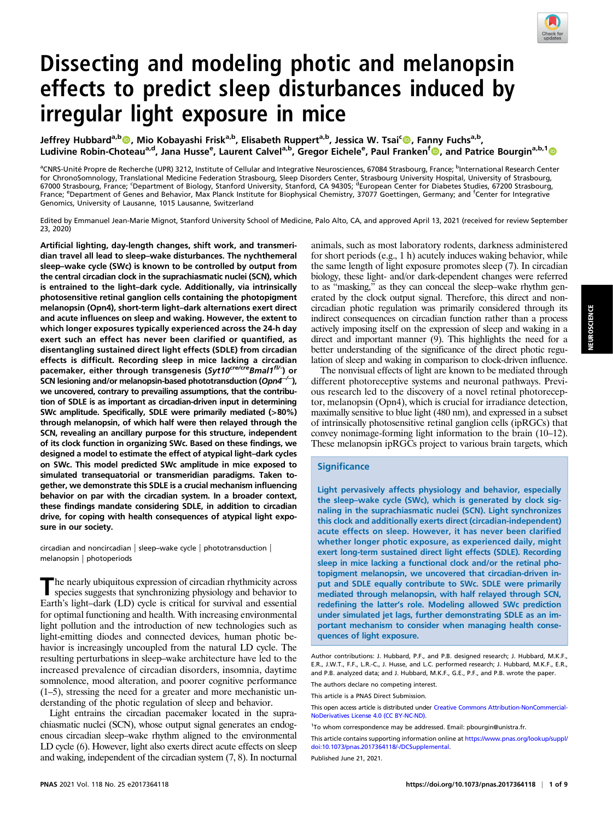

# Dissecting and modeling photic and melanopsin effects to predict sleep disturbances induced by irregular light exposure in mice

Jeffrey Hubbard<sup>a,b</sup>©, Mio Kobayashi Frisk<sup>a,b</sup>, Elisabeth Ruppert<sup>a,b</sup>, Jessica W. Tsai<sup>c</sup>©, Fanny Fuchs<sup>a,b</sup>, Ludivine Robin-Choteau<sup>a,d</sup>, Jana Husse<sup>e</sup>, Laurent Calvel<sup>a,b</sup>, Gregor Eichele<sup>e</sup>, Paul Franken<sup>f</sup> (D), and Patrice Bourgin<sup>a,b,1</sup> (D)

<sup>a</sup>CNRS-Unité Propre de Recherche (UPR) 3212, Institute of Cellular and Integrative Neurosciences, 67084 Strasbourg, France; <sup>b</sup>International Research Center for ChronoSomnology, Translational Medicine Federation Strasbourg, Sleep Disorders Center, Strasbourg University Hospital, University of Strasbourg,<br>67000 Strasbourg, France; 'Department of Biology, Stanford University, St France; <sup>e</sup>Department of Genes and Behavior, Max Planck Institute for Biophysical Chemistry, 37077 Goettingen, Germany; and <sup>f</sup>Center for Integrative Genomics, University of Lausanne, 1015 Lausanne, Switzerland

Edited by Emmanuel Jean-Marie Mignot, Stanford University School of Medicine, Palo Alto, CA, and approved April 13, 2021 (received for review September 23, 2020)

Artificial lighting, day-length changes, shift work, and transmeridian travel all lead to sleep–wake disturbances. The nychthemeral sleep–wake cycle (SWc) is known to be controlled by output from the central circadian clock in the suprachiasmatic nuclei (SCN), which is entrained to the light–dark cycle. Additionally, via intrinsically photosensitive retinal ganglion cells containing the photopigment melanopsin (Opn4), short-term light–dark alternations exert direct and acute influences on sleep and waking. However, the extent to which longer exposures typically experienced across the 24-h day exert such an effect has never been clarified or quantified, as disentangling sustained direct light effects (SDLE) from circadian effects is difficult. Recording sleep in mice lacking a circadian pacemaker, either through transgenesis (Syt10<sup>cre/cre</sup>Bmal1<sup>fl/-</sup>) or SCN lesioning and/or melanopsin-based phototransduction (Opn4<sup>-/-</sup>), we uncovered, contrary to prevailing assumptions, that the contribution of SDLE is as important as circadian-driven input in determining SWc amplitude. Specifically, SDLE were primarily mediated (>80%) through melanopsin, of which half were then relayed through the SCN, revealing an ancillary purpose for this structure, independent of its clock function in organizing SWc. Based on these findings, we designed a model to estimate the effect of atypical light–dark cycles on SWc. This model predicted SWc amplitude in mice exposed to simulated transequatorial or transmeridian paradigms. Taken together, we demonstrate this SDLE is a crucial mechanism influencing behavior on par with the circadian system. In a broader context, these findings mandate considering SDLE, in addition to circadian drive, for coping with health consequences of atypical light exposure in our society.

circadian and noncircadian | sleep–wake cycle | phototransduction | melanopsin | photoperiods

The nearly ubiquitous expression of circadian rhythmicity across species suggests that synchronizing physiology and behavior to Earth's light–dark (LD) cycle is critical for survival and essential for optimal functioning and health. With increasing environmental light pollution and the introduction of new technologies such as light-emitting diodes and connected devices, human photic behavior is increasingly uncoupled from the natural LD cycle. The resulting perturbations in sleep–wake architecture have led to the increased prevalence of circadian disorders, insomnia, daytime somnolence, mood alteration, and poorer cognitive performance (1–5), stressing the need for a greater and more mechanistic understanding of the photic regulation of sleep and behavior.

Light entrains the circadian pacemaker located in the suprachiasmatic nuclei (SCN), whose output signal generates an endogenous circadian sleep–wake rhythm aligned to the environmental LD cycle (6). However, light also exerts direct acute effects on sleep and waking, independent of the circadian system (7, 8). In nocturnal animals, such as most laboratory rodents, darkness administered for short periods (e.g., 1 h) acutely induces waking behavior, while the same length of light exposure promotes sleep (7). In circadian biology, these light- and/or dark-dependent changes were referred to as "masking," as they can conceal the sleep–wake rhythm generated by the clock output signal. Therefore, this direct and noncircadian photic regulation was primarily considered through its indirect consequences on circadian function rather than a process actively imposing itself on the expression of sleep and waking in a direct and important manner (9). This highlights the need for a better understanding of the significance of the direct photic regulation of sleep and waking in comparison to clock-driven influence.

The nonvisual effects of light are known to be mediated through different photoreceptive systems and neuronal pathways. Previous research led to the discovery of a novel retinal photoreceptor, melanopsin (Opn4), which is crucial for irradiance detection, maximally sensitive to blue light (480 nm), and expressed in a subset of intrinsically photosensitive retinal ganglion cells (ipRGCs) that convey nonimage-forming light information to the brain (10–12). These melanopsin ipRGCs project to various brain targets, which

# **Significance**

Light pervasively affects physiology and behavior, especially the sleep–wake cycle (SWc), which is generated by clock signaling in the suprachiasmatic nuclei (SCN). Light synchronizes this clock and additionally exerts direct (circadian-independent) acute effects on sleep. However, it has never been clarified whether longer photic exposure, as experienced daily, might exert long-term sustained direct light effects (SDLE). Recording sleep in mice lacking a functional clock and/or the retinal photopigment melanopsin, we uncovered that circadian-driven input and SDLE equally contribute to SWc. SDLE were primarily mediated through melanopsin, with half relayed through SCN, redefining the latter's role. Modeling allowed SWc prediction under simulated jet lags, further demonstrating SDLE as an important mechanism to consider when managing health consequences of light exposure.

Author contributions: J. Hubbard, P.F., and P.B. designed research; J. Hubbard, M.K.F., E.R., J.W.T., F.F., L.R.-C., J. Husse, and L.C. performed research; J. Hubbard, M.K.F., E.R., and P.B. analyzed data; and J. Hubbard, M.K.F., G.E., P.F., and P.B. wrote the paper.

The authors declare no competing interest.

This article is a PNAS Direct Submission.

This open access article is distributed under [Creative Commons Attribution-NonCommercial-](https://creativecommons.org/licenses/by-nc-nd/4.0/)[NoDerivatives License 4.0 \(CC BY-NC-ND\).](https://creativecommons.org/licenses/by-nc-nd/4.0/)

This article contains supporting information online at [https://www.pnas.org/lookup/suppl/](https://www.pnas.org/lookup/suppl/doi:10.1073/pnas.2017364118/-/DCSupplemental) [doi:10.1073/pnas.2017364118/-/DCSupplemental.](https://www.pnas.org/lookup/suppl/doi:10.1073/pnas.2017364118/-/DCSupplemental)

Published June 21, 2021.

<sup>1</sup> To whom correspondence may be addressed. Email: [pbourgin@unistra.fr](mailto:pbourgin@unistra.fr).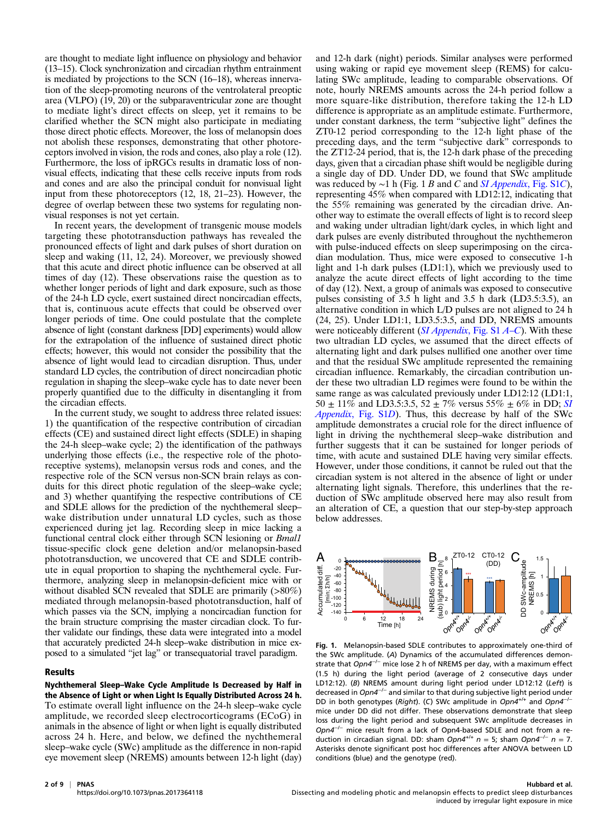are thought to mediate light influence on physiology and behavior (13–15). Clock synchronization and circadian rhythm entrainment is mediated by projections to the SCN (16–18), whereas innervation of the sleep-promoting neurons of the ventrolateral preoptic area (VLPO) (19, 20) or the subparaventricular zone are thought to mediate light's direct effects on sleep, yet it remains to be clarified whether the SCN might also participate in mediating those direct photic effects. Moreover, the loss of melanopsin does not abolish these responses, demonstrating that other photoreceptors involved in vision, the rods and cones, also play a role (12). Furthermore, the loss of ipRGCs results in dramatic loss of nonvisual effects, indicating that these cells receive inputs from rods and cones and are also the principal conduit for nonvisual light input from these photoreceptors (12, 18, 21–23). However, the degree of overlap between these two systems for regulating nonvisual responses is not yet certain.

In recent years, the development of transgenic mouse models targeting these phototransduction pathways has revealed the pronounced effects of light and dark pulses of short duration on sleep and waking (11, 12, 24). Moreover, we previously showed that this acute and direct photic influence can be observed at all times of day (12). These observations raise the question as to whether longer periods of light and dark exposure, such as those of the 24-h LD cycle, exert sustained direct noncircadian effects, that is, continuous acute effects that could be observed over longer periods of time. One could postulate that the complete absence of light (constant darkness [DD] experiments) would allow for the extrapolation of the influence of sustained direct photic effects; however, this would not consider the possibility that the absence of light would lead to circadian disruption. Thus, under standard LD cycles, the contribution of direct noncircadian photic regulation in shaping the sleep–wake cycle has to date never been properly quantified due to the difficulty in disentangling it from the circadian effects.

In the current study, we sought to address three related issues: 1) the quantification of the respective contribution of circadian effects (CE) and sustained direct light effects (SDLE) in shaping the 24-h sleep–wake cycle; 2) the identification of the pathways underlying those effects (i.e., the respective role of the photoreceptive systems), melanopsin versus rods and cones, and the respective role of the SCN versus non-SCN brain relays as conduits for this direct photic regulation of the sleep–wake cycle; and 3) whether quantifying the respective contributions of CE and SDLE allows for the prediction of the nychthemeral sleep– wake distribution under unnatural LD cycles, such as those experienced during jet lag. Recording sleep in mice lacking a functional central clock either through SCN lesioning or *Bmall* tissue-specific clock gene deletion and/or melanopsin-based phototransduction, we uncovered that CE and SDLE contribute in equal proportion to shaping the nychthemeral cycle. Furthermore, analyzing sleep in melanopsin-deficient mice with or without disabled SCN revealed that SDLE are primarily (>80%) mediated through melanopsin-based phototransduction, half of which passes via the SCN, implying a noncircadian function for the brain structure comprising the master circadian clock. To further validate our findings, these data were integrated into a model that accurately predicted 24-h sleep–wake distribution in mice exposed to a simulated "jet lag" or transequatorial travel paradigm.

## Results

Nychthemeral Sleep–Wake Cycle Amplitude Is Decreased by Half in the Absence of Light or when Light Is Equally Distributed Across 24 h. To estimate overall light influence on the 24-h sleep–wake cycle amplitude, we recorded sleep electrocorticograms (ECoG) in animals in the absence of light or when light is equally distributed across 24 h. Here, and below, we defined the nychthemeral sleep–wake cycle (SWc) amplitude as the difference in non-rapid eye movement sleep (NREMS) amounts between 12-h light (day)

and 12-h dark (night) periods. Similar analyses were performed using waking or rapid eye movement sleep (REMS) for calculating SWc amplitude, leading to comparable observations. Of note, hourly NREMS amounts across the 24-h period follow a more square-like distribution, therefore taking the 12-h LD difference is appropriate as an amplitude estimate. Furthermore, under constant darkness, the term "subjective light" defines the ZT0-12 period corresponding to the 12-h light phase of the preceding days, and the term "subjective dark" corresponds to the ZT12-24 period, that is, the 12-h dark phase of the preceding days, given that a circadian phase shift would be negligible during a single day of DD. Under DD, we found that SWc amplitude was reduced by  $\sim$ 1 h (Fig. 1 B and C and [SI Appendix](https://www.pnas.org/lookup/suppl/doi:10.1073/pnas.2017364118/-/DCSupplemental), Fig. S1C), representing 45% when compared with LD12:12, indicating that the 55% remaining was generated by the circadian drive. Another way to estimate the overall effects of light is to record sleep and waking under ultradian light/dark cycles, in which light and dark pulses are evenly distributed throughout the nychthemeron with pulse-induced effects on sleep superimposing on the circadian modulation. Thus, mice were exposed to consecutive 1-h light and 1-h dark pulses (LD1:1), which we previously used to analyze the acute direct effects of light according to the time of day (12). Next, a group of animals was exposed to consecutive pulses consisting of 3.5 h light and 3.5 h dark (LD3.5:3.5), an alternative condition in which L/D pulses are not aligned to 24 h (24, 25). Under LD1:1, LD3.5:3.5, and DD, NREMS amounts were noticeably different ( $SI$  *Appendix*, Fig. S1  $A$ –*[C](https://www.pnas.org/lookup/suppl/doi:10.1073/pnas.2017364118/-/DCSupplemental)*). With these two ultradian LD cycles, we assumed that the direct effects of alternating light and dark pulses nullified one another over time and that the residual SWc amplitude represented the remaining circadian influence. Remarkably, the circadian contribution under these two ultradian LD regimes were found to be within the same range as was calculated previously under LD12:12 (LD1:1, 50  $\pm$  11% and LD3.5:3.5, 52  $\pm$  7% versus 55%  $\pm$  6% in DD; [SI](https://www.pnas.org/lookup/suppl/doi:10.1073/pnas.2017364118/-/DCSupplemental) Appendix[, Fig. S1](https://www.pnas.org/lookup/suppl/doi:10.1073/pnas.2017364118/-/DCSupplemental)D). Thus, this decrease by half of the SWc amplitude demonstrates a crucial role for the direct influence of light in driving the nychthemeral sleep–wake distribution and further suggests that it can be sustained for longer periods of time, with acute and sustained DLE having very similar effects. However, under those conditions, it cannot be ruled out that the circadian system is not altered in the absence of light or under alternating light signals. Therefore, this underlines that the reduction of SWc amplitude observed here may also result from an alteration of CE, a question that our step-by-step approach below addresses.



Fig. 1. Melanopsin-based SDLE contributes to approximately one-third of the SWc amplitude. (A) Dynamics of the accumulated differences demonstrate that  $Opn4^{-/-}$  mice lose 2 h of NREMS per day, with a maximum effect (1.5 h) during the light period (average of 2 consecutive days under LD12:12). (B) NREMS amount during light period under LD12:12 (Left) is decreased in Opn4<sup>-/-</sup> and similar to that during subjective light period under DD in both genotypes (Right). (C) SWc amplitude in Opn4<sup>+/+</sup> and Opn4<sup>-/−</sup> mice under DD did not differ. These observations demonstrate that sleep loss during the light period and subsequent SWc amplitude decreases in Opn4<sup>-/-</sup> mice result from a lack of Opn4-based SDLE and not from a reduction in circadian signal. DD: sham Opn4<sup>+/+</sup>  $n = 5$ ; sham Opn4<sup>-/-</sup>  $n = 7$ . Asterisks denote significant post hoc differences after ANOVA between LD conditions (blue) and the genotype (red).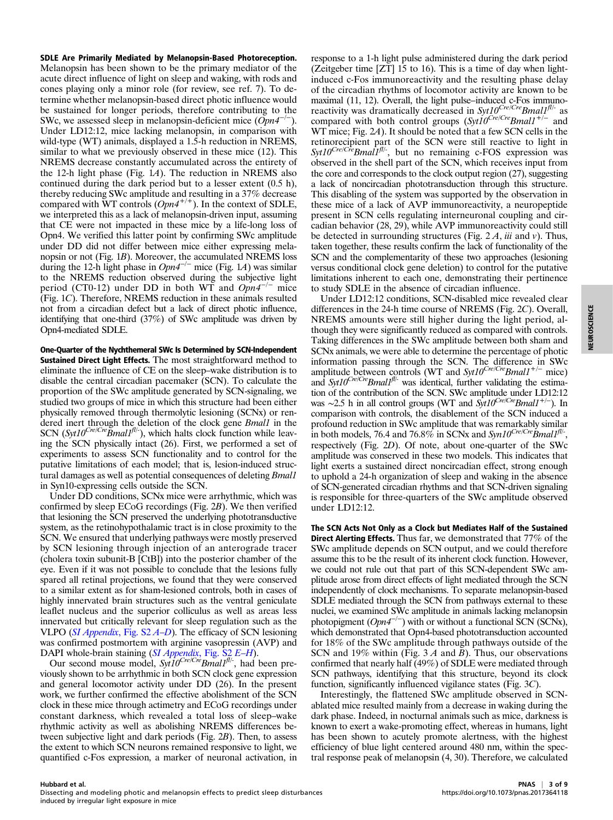SDLE Are Primarily Mediated by Melanopsin-Based Photoreception. Melanopsin has been shown to be the primary mediator of the acute direct influence of light on sleep and waking, with rods and cones playing only a minor role (for review, see ref. 7). To determine whether melanopsin-based direct photic influence would be sustained for longer periods, therefore contributing to the SWc, we assessed sleep in melanopsin-deficient mice  $(Dpn4^{-/-})$ . Under LD12:12, mice lacking melanopsin, in comparison with wild-type (WT) animals, displayed a 1.5-h reduction in NREMS, similar to what we previously observed in these mice (12). This NREMS decrease constantly accumulated across the entirety of the 12-h light phase (Fig.  $1A$ ). The reduction in NREMS also continued during the dark period but to a lesser extent (0.5 h), thereby reducing SWc amplitude and resulting in a 37% decrease compared with  $WT$  controls  $(Opn4^{+/+})$ . In the context of SDLE, we interpreted this as a lack of melanopsin-driven input, assuming that CE were not impacted in these mice by a life-long loss of Opn4. We verified this latter point by confirming SWc amplitude under DD did not differ between mice either expressing melanopsin or not (Fig. 1B). Moreover, the accumulated NREMS loss during the 12-h light phase in  $Opn4^{-/-}$  mice (Fig. 1A) was similar to the NREMS reduction observed during the subjective light period (CT0-12) under DD in both WT and  $Opn4^{-/-}$  mice (Fig. 1C). Therefore, NREMS reduction in these animals resulted not from a circadian defect but a lack of direct photic influence, identifying that one-third (37%) of SWc amplitude was driven by Opn4-mediated SDLE.

One-Quarter of the Nychthemeral SWc Is Determined by SCN-Independent Sustained Direct Light Effects. The most straightforward method to eliminate the influence of CE on the sleep–wake distribution is to disable the central circadian pacemaker (SCN). To calculate the proportion of the SWc amplitude generated by SCN-signaling, we studied two groups of mice in which this structure had been either physically removed through thermolytic lesioning (SCNx) or rendered inert through the deletion of the clock gene *Bmall* in the SCN (Syt10<sup>Cre/Cre</sup>Bmal1<sup>fl/-</sup>), which halts clock function while leaving the SCN physically intact (26). First, we performed a set of experiments to assess SCN functionality and to control for the putative limitations of each model; that is, lesion-induced structural damages as well as potential consequences of deleting *Bmall* in Syn10-expressing cells outside the SCN.

Under DD conditions, SCNx mice were arrhythmic, which was confirmed by sleep ECoG recordings (Fig. 2B). We then verified that lesioning the SCN preserved the underlying phototransductive system, as the retinohypothalamic tract is in close proximity to the SCN. We ensured that underlying pathways were mostly preserved by SCN lesioning through injection of an anterograde tracer (cholera toxin subunit-B [CtB]) into the posterior chamber of the eye. Even if it was not possible to conclude that the lesions fully spared all retinal projections, we found that they were conserved to a similar extent as for sham-lesioned controls, both in cases of highly innervated brain structures such as the ventral geniculate leaflet nucleus and the superior colliculus as well as areas less innervated but critically relevant for sleep regulation such as the VLPO ([SI Appendix](https://www.pnas.org/lookup/suppl/doi:10.1073/pnas.2017364118/-/DCSupplemental), Fig. S2 A–[D](https://www.pnas.org/lookup/suppl/doi:10.1073/pnas.2017364118/-/DCSupplemental)). The efficacy of SCN lesioning was confirmed postmortem with arginine vasopressin (AVP) and DAPI whole-brain staining ([SI Appendix](https://www.pnas.org/lookup/suppl/doi:10.1073/pnas.2017364118/-/DCSupplemental), Fig. S2 E–[H](https://www.pnas.org/lookup/suppl/doi:10.1073/pnas.2017364118/-/DCSupplemental)).

Our second mouse model,  $Syt10^{Cre/Cre}Bmal1^{fl/-}$ , had been previously shown to be arrhythmic in both SCN clock gene expression and general locomotor activity under DD (26). In the present work, we further confirmed the effective abolishment of the SCN clock in these mice through actimetry and ECoG recordings under constant darkness, which revealed a total loss of sleep–wake rhythmic activity as well as abolishing NREMS differences between subjective light and dark periods (Fig. 2B). Then, to assess the extent to which SCN neurons remained responsive to light, we quantified c-Fos expression, a marker of neuronal activation, in

response to a 1-h light pulse administered during the dark period (Zeitgeber time [ZT] 15 to 16). This is a time of day when lightinduced c-Fos immunoreactivity and the resulting phase delay of the circadian rhythms of locomotor activity are known to be maximal (11, 12). Overall, the light pulse–induced c-Fos immunoreactivity was dramatically decreased in  $Syt10^{Cre/Cre}Bmal1^{fl/2}$  as compared with both control groups (Syt10<sup>Cre/Cre</sup>Bmal1<sup>+/-</sup> and WT mice; Fig. 2A). It should be noted that a few SCN cells in the retinorecipient part of the SCN were still reactive to light in  $Syt10^{Cre/Cre} Bmal1<sup>f1/-</sup>$ , but no remaining c-FOS expression was observed in the shell part of the SCN, which receives input from the core and corresponds to the clock output region (27), suggesting a lack of noncircadian phototransduction through this structure. This disabling of the system was supported by the observation in these mice of a lack of AVP immunoreactivity, a neuropeptide present in SCN cells regulating interneuronal coupling and circadian behavior (28, 29), while AVP immunoreactivity could still be detected in surrounding structures (Fig.  $2A$ , *iii* and *v*). Thus, taken together, these results confirm the lack of functionality of the SCN and the complementarity of these two approaches (lesioning versus conditional clock gene deletion) to control for the putative limitations inherent to each one, demonstrating their pertinence to study SDLE in the absence of circadian influence.

Under LD12:12 conditions, SCN-disabled mice revealed clear differences in the 24-h time course of NREMS (Fig. 2C). Overall, NREMS amounts were still higher during the light period, although they were significantly reduced as compared with controls. Taking differences in the SWc amplitude between both sham and SCNx animals, we were able to determine the percentage of photic information passing through the SCN. The difference in SWc amplitude between controls (WT and  $Syt10^{Cre/Cre}Bmal1^{+/-}$  mice) and  $Syt10^{Cre/Cre}Bmal1<sup>f1/-</sup>$  was identical, further validating the estimation of the contribution of the SCN. SWc amplitude under LD12:12 was ~2.5 h in all control groups (WT and  $Syt10^{Cre/Cre}Bmal1^{+/-}$ ). In comparison with controls, the disablement of the SCN induced a profound reduction in SWc amplitude that was remarkably similar in both models, 76.4 and 76.8% in SCNx and  $Syn10^{Cre/Cre}\dot{B}mall^{fl/-.}$ . respectively (Fig. 2D). Of note, about one-quarter of the SWc amplitude was conserved in these two models. This indicates that light exerts a sustained direct noncircadian effect, strong enough to uphold a 24-h organization of sleep and waking in the absence of SCN-generated circadian rhythms and that SCN-driven signaling is responsible for three-quarters of the SWc amplitude observed under LD12:12.

The SCN Acts Not Only as a Clock but Mediates Half of the Sustained Direct Alerting Effects. Thus far, we demonstrated that 77% of the SWc amplitude depends on SCN output, and we could therefore assume this to be the result of its inherent clock function. However, we could not rule out that part of this SCN-dependent SWc amplitude arose from direct effects of light mediated through the SCN independently of clock mechanisms. To separate melanopsin-based SDLE mediated through the SCN from pathways external to these nuclei, we examined SWc amplitude in animals lacking melanopsin photopigment  $(Opn4^{-/-})$  with or without a functional SCN (SCNx), which demonstrated that Opn4-based phototransduction accounted for 18% of the SWc amplitude through pathways outside of the SCN and 19% within (Fig.  $3A$  and B). Thus, our observations confirmed that nearly half (49%) of SDLE were mediated through SCN pathways, identifying that this structure, beyond its clock function, significantly influenced vigilance states (Fig. 3C).

Interestingly, the flattened SWc amplitude observed in SCNablated mice resulted mainly from a decrease in waking during the dark phase. Indeed, in nocturnal animals such as mice, darkness is known to exert a wake-promoting effect, whereas in humans, light has been shown to acutely promote alertness, with the highest efficiency of blue light centered around 480 nm, within the spectral response peak of melanopsin (4, 30). Therefore, we calculated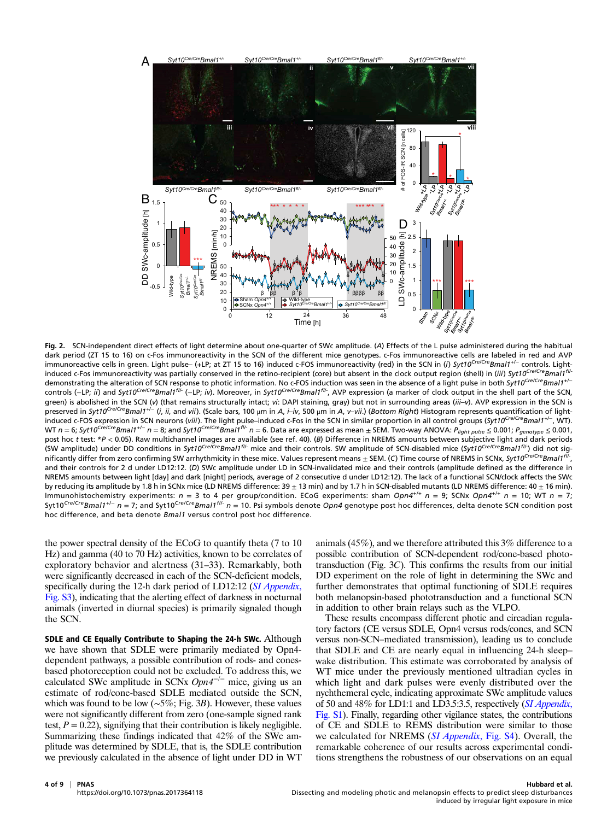

Fig. 2. SCN-independent direct effects of light determine about one-quarter of SWc amplitude. (A) Effects of the L pulse administered during the habitual dark period (ZT 15 to 16) on c-Fos immunoreactivity in the SCN of the different mice genotypes. c-Fos immunoreactive cells are labeled in red and AVP immunoreactive cells in green. Light pulse– (+LP; at ZT 15 to 16) induced c-FOS immunoreactivity (red) in the SCN in (i) Syt10<sup>Cre/Cre</sup>Bmal1<sup>+/−</sup> controls. Lightinduced c-Fos immunoreactivity was partially conserved in the retino-recipient (core) but absent in the clock output region (shell) in (iii) Syt10<sup>Cre/Cre</sup>Bmal1<sup>fl/-</sup> demonstrating the alteration of SCN response to photic information. No c-FOS induction was seen in the absence of a light pulse in both Syt10<sup>Cre/Cre</sup>Bmal1<sup>+/−</sup> controls (−LP; ii) and Syt10Cre/CreBmal1<sup>fli-</sup> (−LP; iv). Moreover, in Syt10Cre/CreBmal1<sup>fli-</sup>, AVP expression (a marker of clock output in the shell part of the SCN, green) is abolished in the SCN (v) (that remains structurally intact; vi: DAPI staining, gray) but not in surrounding areas (iii-v). AVP expression in the SCN is preserved in Syt10<sup>Cre/Cre</sup>Bmal1<sup>+/−</sup> (i, ii, and vii). (Scale bars, 100 μm in A, i–iv, 500 μm in A, v–vii.) (Bottom Right) Histogram represents quantification of lightinduced c-FOS expression in SCN neurons (viii). The light pulse–induced c-Fos in the SCN in similar proportion in all control groups (Syt10<sup>Cre/Cre</sup>Bmal1<sup>+/-</sup>, WT). was external to the expression of the set and Syt10<sup>Cre/Cre</sup>Bmal1<sup>fl/-</sup> n = 6. Data are expressed as mean  $\pm$  SEM. Two-way ANOVA: P<sub>light pulse</sub>  $\leq$  0.001; P<sub>genotype</sub>  $\leq$  0.001, post hoc t test: \*P < 0.05). Raw multichannel images are available (see ref. 40). (B) Difference in NREMS amounts between subjective light and dark periods (SW amplitude) under DD conditions in Syt10<sup>Cre/Cre</sup>Bmal1<sup>fl/-</sup> mice and their controls. SW amplitude of SCN-disabled mice (Syt10<sup>Cre/Cre</sup>Bmal1<sup>fl/-</sup>) did not significantly differ from zero confirming SW arrhythmicity in these mice. Values represent means  $\pm$  SEM. (C) Time course of NREMS in SCNx, Syt10<sup>Cre/Cre</sup>Bmal1<sup>fl</sup> and their controls for 2 d under LD12:12. (D) SWc amplitude under LD in SCN-invalidated mice and their controls (amplitude defined as the difference in NREMS amounts between light [day] and dark [night] periods, average of 2 consecutive d under LD12:12). The lack of a functional SCN/clock affects the SWc by reducing its amplitude by 1.8 h in SCNx mice (LD NREMS difference:  $39 \pm 13$  min) and by 1.7 h in SCN-disabled mutants (LD NREMS difference:  $40 \pm 16$  min). Immunohistochemistry experiments:  $n = 3$  to 4 per group/condition. ECoG experiments: sham  $Opn4^{+/+}$   $n = 9$ ; SCNx  $Opn4^{+/+}$   $n = 10$ ; WT  $n = 7$ ; Syt10<sup>Cre/Cre</sup>Bmal1<sup>+/−</sup> n = 7; and Syt10<sup>Cre/Cre</sup>Bmal1<sup>fl/-</sup> n = 10. Psi symbols denote Opn4 genotype post hoc differences, delta denote SCN condition post hoc difference, and beta denote Bmal1 versus control post hoc difference.

the power spectral density of the ECoG to quantify theta (7 to 10 Hz) and gamma (40 to 70 Hz) activities, known to be correlates of exploratory behavior and alertness (31–33). Remarkably, both were significantly decreased in each of the SCN-deficient models, specifically during the 12-h dark period of LD12:12 ([SI Appendix](https://www.pnas.org/lookup/suppl/doi:10.1073/pnas.2017364118/-/DCSupplemental), [Fig. S3](https://www.pnas.org/lookup/suppl/doi:10.1073/pnas.2017364118/-/DCSupplemental)), indicating that the alerting effect of darkness in nocturnal animals (inverted in diurnal species) is primarily signaled though the SCN.

SDLE and CE Equally Contribute to Shaping the 24-h SWc. Although we have shown that SDLE were primarily mediated by Opn4 dependent pathways, a possible contribution of rods- and conesbased photoreception could not be excluded. To address this, we calculated SWc amplitude in SCNx  $Opn4^{-/-}$  mice, giving us an estimate of rod/cone-based SDLE mediated outside the SCN, which was found to be low ( $\sim$ 5%; Fig. 3B). However, these values were not significantly different from zero (one-sample signed rank test,  $P = 0.22$ ), signifying that their contribution is likely negligible. Summarizing these findings indicated that 42% of the SWc amplitude was determined by SDLE, that is, the SDLE contribution we previously calculated in the absence of light under DD in WT animals (45%), and we therefore attributed this 3% difference to a possible contribution of SCN-dependent rod/cone-based phototransduction (Fig. 3C). This confirms the results from our initial DD experiment on the role of light in determining the SWc and further demonstrates that optimal functioning of SDLE requires both melanopsin-based phototransduction and a functional SCN in addition to other brain relays such as the VLPO.

These results encompass different photic and circadian regulatory factors (CE versus SDLE, Opn4 versus rods/cones, and SCN versus non-SCN–mediated transmission), leading us to conclude that SDLE and CE are nearly equal in influencing 24-h sleep– wake distribution. This estimate was corroborated by analysis of WT mice under the previously mentioned ultradian cycles in which light and dark pulses were evenly distributed over the nychthemeral cycle, indicating approximate SWc amplitude values of 50 and 48% for LD1:1 and LD3.5:3.5, respectively ([SI Appendix](https://www.pnas.org/lookup/suppl/doi:10.1073/pnas.2017364118/-/DCSupplemental), [Fig. S1](https://www.pnas.org/lookup/suppl/doi:10.1073/pnas.2017364118/-/DCSupplemental)). Finally, regarding other vigilance states, the contributions of CE and SDLE to REMS distribution were similar to those we calculated for NREMS ([SI Appendix](https://www.pnas.org/lookup/suppl/doi:10.1073/pnas.2017364118/-/DCSupplemental), Fig. S4). Overall, the remarkable coherence of our results across experimental conditions strengthens the robustness of our observations on an equal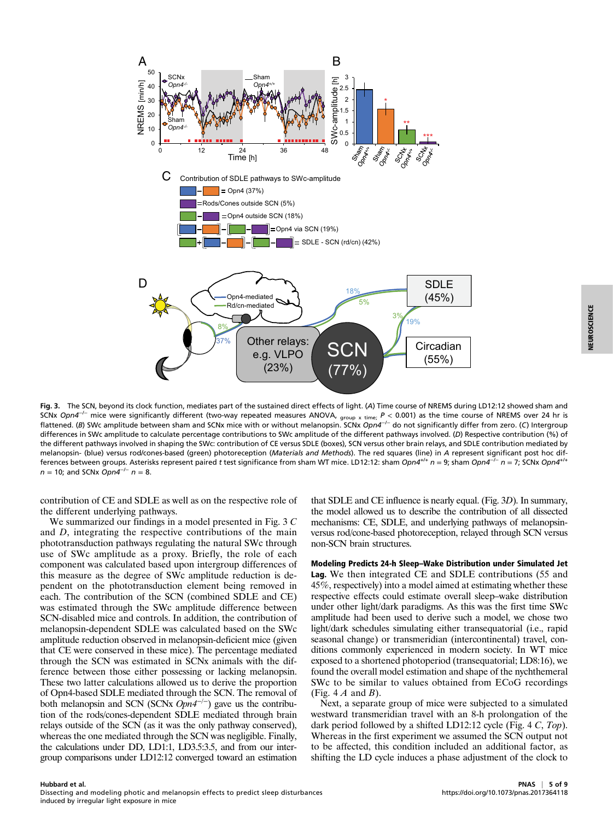

Fig. 3. The SCN, beyond its clock function, mediates part of the sustained direct effects of light. (A) Time course of NREMS during LD12:12 showed sham and SCNx Opn4<sup>−/−</sup> mice were significantly different (two-way repeated measures ANOVA,  $_{\rm group~x~time;}$   $P$  < 0.001) as the time course of NREMS over 24 hr is flattened. (B) SWc amplitude between sham and SCNx mice with or without melanopsin. SCNx Opn4<sup>−/−</sup> do not significantly differ from zero. (C) Intergroup differences in SWc amplitude to calculate percentage contributions to SWc amplitude of the different pathways involved. (D) Respective contribution (%) of the different pathways involved in shaping the SWc: contribution of CE versus SDLE (boxes), SCN versus other brain relays, and SDLE contribution mediated by melanopsin- (blue) versus rod/cones-based (green) photoreception (Materials and Methods). The red squares (line) in A represent significant post hoc differences between groups. Asterisks represent paired t test significance from sham WT mice. LD12:12: sham Opn4<sup>+/+</sup> n = 9; sham Opn4<sup>-/-</sup> n = 7; SCNx Opn4<sup>+/+</sup>  $n = 10$ ; and SCNx Opn4<sup>-/-</sup>  $n = 8$ .

contribution of CE and SDLE as well as on the respective role of the different underlying pathways.

We summarized our findings in a model presented in Fig. 3 C and D, integrating the respective contributions of the main phototransduction pathways regulating the natural SWc through use of SWc amplitude as a proxy. Briefly, the role of each component was calculated based upon intergroup differences of this measure as the degree of SWc amplitude reduction is dependent on the phototransduction element being removed in each. The contribution of the SCN (combined SDLE and CE) was estimated through the SWc amplitude difference between SCN-disabled mice and controls. In addition, the contribution of melanopsin-dependent SDLE was calculated based on the SWc amplitude reduction observed in melanopsin-deficient mice (given that CE were conserved in these mice). The percentage mediated through the SCN was estimated in SCNx animals with the difference between those either possessing or lacking melanopsin. These two latter calculations allowed us to derive the proportion of Opn4-based SDLE mediated through the SCN. The removal of both melanopsin and SCN (SCNx  $Opn4^{-/-}$ ) gave us the contribution of the rods/cones-dependent SDLE mediated through brain relays outside of the SCN (as it was the only pathway conserved), whereas the one mediated through the SCN was negligible. Finally, the calculations under DD, LD1:1, LD3.5:3.5, and from our intergroup comparisons under LD12:12 converged toward an estimation

that SDLE and CE influence is nearly equal. (Fig. 3D). In summary, the model allowed us to describe the contribution of all dissected mechanisms: CE, SDLE, and underlying pathways of melanopsinversus rod/cone-based photoreception, relayed through SCN versus non-SCN brain structures.

Modeling Predicts 24-h Sleep–Wake Distribution under Simulated Jet Lag. We then integrated CE and SDLE contributions (55 and 45%, respectively) into a model aimed at estimating whether these respective effects could estimate overall sleep–wake distribution under other light/dark paradigms. As this was the first time SWc amplitude had been used to derive such a model, we chose two light/dark schedules simulating either transequatorial (i.e., rapid seasonal change) or transmeridian (intercontinental) travel, conditions commonly experienced in modern society. In WT mice exposed to a shortened photoperiod (transequatorial; LD8:16), we found the overall model estimation and shape of the nychthemeral SWc to be similar to values obtained from ECoG recordings (Fig.  $4A$  and B).

Next, a separate group of mice were subjected to a simulated westward transmeridian travel with an 8-h prolongation of the dark period followed by a shifted LD12:12 cycle (Fig. 4 C, Top). Whereas in the first experiment we assumed the SCN output not to be affected, this condition included an additional factor, as shifting the LD cycle induces a phase adjustment of the clock to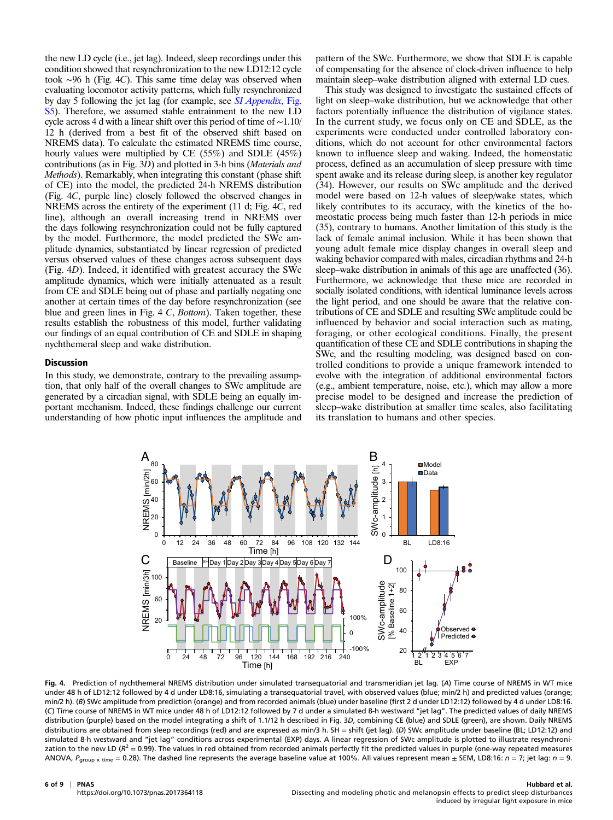the new LD cycle (i.e., jet lag). Indeed, sleep recordings under this condition showed that resynchronization to the new LD12:12 cycle took ∼96 h (Fig. 4C). This same time delay was observed when evaluating locomotor activity patterns, which fully resynchronized by day 5 following the jet lag (for example, see *[SI Appendix](https://www.pnas.org/lookup/suppl/doi:10.1073/pnas.2017364118/-/DCSupplemental)*, Fig. [S5\)](https://www.pnas.org/lookup/suppl/doi:10.1073/pnas.2017364118/-/DCSupplemental). Therefore, we assumed stable entrainment to the new LD cycle across 4 d with a linear shift over this period of time of ∼1.10/ 12 h (derived from a best fit of the observed shift based on NREMS data). To calculate the estimated NREMS time course, hourly values were multiplied by CE (55%) and SDLE (45%) contributions (as in Fig. 3D) and plotted in 3-h bins (Materials and Methods). Remarkably, when integrating this constant (phase shift of CE) into the model, the predicted 24-h NREMS distribution (Fig. 4C, purple line) closely followed the observed changes in NREMS across the entirety of the experiment (11 d; Fig. 4C, red line), although an overall increasing trend in NREMS over the days following resynchronization could not be fully captured by the model. Furthermore, the model predicted the SWc amplitude dynamics, substantiated by linear regression of predicted versus observed values of these changes across subsequent days (Fig. 4D). Indeed, it identified with greatest accuracy the SWc amplitude dynamics, which were initially attenuated as a result from CE and SDLE being out of phase and partially negating one another at certain times of the day before resynchronization (see blue and green lines in Fig.  $4 C$ , *Bottom*). Taken together, these results establish the robustness of this model, further validating our findings of an equal contribution of CE and SDLE in shaping nychthemeral sleep and wake distribution.

## Discussion

In this study, we demonstrate, contrary to the prevailing assumption, that only half of the overall changes to SWc amplitude are generated by a circadian signal, with SDLE being an equally important mechanism. Indeed, these findings challenge our current understanding of how photic input influences the amplitude and pattern of the SWc. Furthermore, we show that SDLE is capable of compensating for the absence of clock-driven influence to help maintain sleep–wake distribution aligned with external LD cues.

This study was designed to investigate the sustained effects of light on sleep–wake distribution, but we acknowledge that other factors potentially influence the distribution of vigilance states. In the current study, we focus only on CE and SDLE, as the experiments were conducted under controlled laboratory conditions, which do not account for other environmental factors known to influence sleep and waking. Indeed, the homeostatic process, defined as an accumulation of sleep pressure with time spent awake and its release during sleep, is another key regulator (34). However, our results on SWc amplitude and the derived model were based on 12-h values of sleep/wake states, which likely contributes to its accuracy, with the kinetics of the homeostatic process being much faster than 12-h periods in mice (35), contrary to humans. Another limitation of this study is the lack of female animal inclusion. While it has been shown that young adult female mice display changes in overall sleep and waking behavior compared with males, circadian rhythms and 24-h sleep–wake distribution in animals of this age are unaffected (36). Furthermore, we acknowledge that these mice are recorded in socially isolated conditions, with identical luminance levels across the light period, and one should be aware that the relative contributions of CE and SDLE and resulting SWc amplitude could be influenced by behavior and social interaction such as mating, foraging, or other ecological conditions. Finally, the present quantification of these CE and SDLE contributions in shaping the SWc, and the resulting modeling, was designed based on controlled conditions to provide a unique framework intended to evolve with the integration of additional environmental factors (e.g., ambient temperature, noise, etc.), which may allow a more precise model to be designed and increase the prediction of sleep–wake distribution at smaller time scales, also facilitating its translation to humans and other species.



Fig. 4. Prediction of nychthemeral NREMS distribution under simulated transequatorial and transmeridian jet lag. (A) Time course of NREMS in WT mice under 48 h of LD12:12 followed by 4 d under LD8:16, simulating a transequatorial travel, with observed values (blue; min/2 h) and predicted values (orange; min/2 h). (B) SWc amplitude from prediction (orange) and from recorded animals (blue) under baseline (first 2 d under LD12:12) followed by 4 d under LD8:16. (C) Time course of NREMS in WT mice under 48 h of LD12:12 followed by 7 d under a simulated 8-h westward "jet lag". The predicted values of daily NREMS distribution (purple) based on the model integrating a shift of 1.1/12 h described in Fig. 3D, combining CE (blue) and SDLE (green), are shown. Daily NREMS distributions are obtained from sleep recordings (red) and are expressed as min/3 h. SH = shift (jet lag). (D) SWc amplitude under baseline (BL; LD12:12) and simulated 8-h westward and "jet lag" conditions across experimental (EXP) days. A linear regression of SWc amplitude is plotted to illustrate resynchronization to the new LD ( $R^2 = 0.99$ ). The values in red obtained from recorded animals perfectly fit the predicted values in purple (one-way repeated measures ANOVA,  $P_{group \times time} = 0.28$ ). The dashed line represents the average baseline value at 100%. All values represent mean  $\pm$  SEM, LD8:16:  $n = 7$ ; jet lag:  $n = 9$ .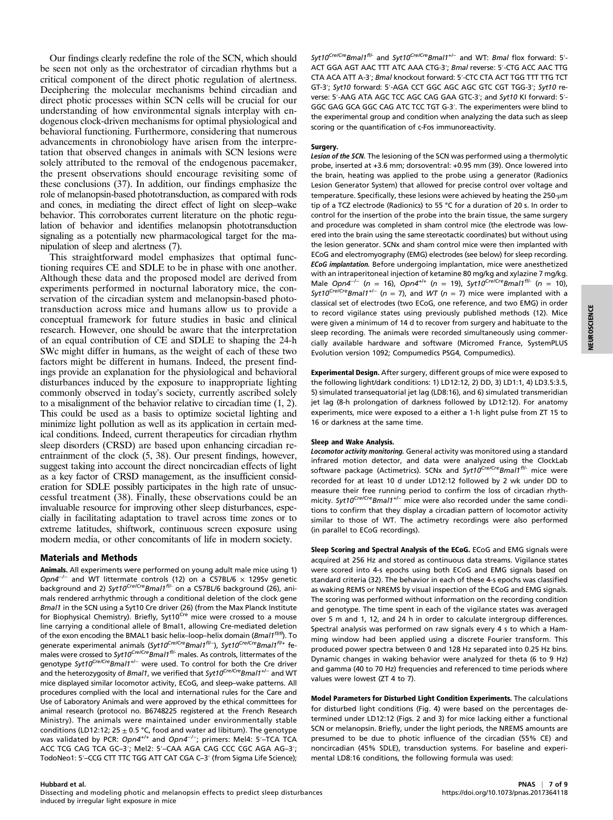Our findings clearly redefine the role of the SCN, which should be seen not only as the orchestrator of circadian rhythms but a critical component of the direct photic regulation of alertness. Deciphering the molecular mechanisms behind circadian and direct photic processes within SCN cells will be crucial for our understanding of how environmental signals interplay with endogenous clock-driven mechanisms for optimal physiological and behavioral functioning. Furthermore, considering that numerous advancements in chronobiology have arisen from the interpretation that observed changes in animals with SCN lesions were solely attributed to the removal of the endogenous pacemaker, the present observations should encourage revisiting some of these conclusions (37). In addition, our findings emphasize the role of melanopsin-based phototransduction, as compared with rods and cones, in mediating the direct effect of light on sleep–wake behavior. This corroborates current literature on the photic regulation of behavior and identifies melanopsin phototransduction signaling as a potentially new pharmacological target for the manipulation of sleep and alertness (7).

This straightforward model emphasizes that optimal functioning requires CE and SDLE to be in phase with one another. Although these data and the proposed model are derived from experiments performed in nocturnal laboratory mice, the conservation of the circadian system and melanopsin-based phototransduction across mice and humans allow us to provide a conceptual framework for future studies in basic and clinical research. However, one should be aware that the interpretation of an equal contribution of CE and SDLE to shaping the 24-h SWc might differ in humans, as the weight of each of these two factors might be different in humans. Indeed, the present findings provide an explanation for the physiological and behavioral disturbances induced by the exposure to inappropriate lighting commonly observed in today's society, currently ascribed solely to a misalignment of the behavior relative to circadian time (1, 2). This could be used as a basis to optimize societal lighting and minimize light pollution as well as its application in certain medical conditions. Indeed, current therapeutics for circadian rhythm sleep disorders (CRSD) are based upon enhancing circadian reentrainment of the clock (5, 38). Our present findings, however, suggest taking into account the direct noncircadian effects of light as a key factor of CRSD management, as the insufficient consideration for SDLE possibly participates in the high rate of unsuccessful treatment (38). Finally, these observations could be an invaluable resource for improving other sleep disturbances, especially in facilitating adaptation to travel across time zones or to extreme latitudes, shiftwork, continuous screen exposure using modern media, or other concomitants of life in modern society.

## Materials and Methods

Animals. All experiments were performed on young adult male mice using 1) Opn4<sup>-/-</sup> and WT littermate controls (12) on a C57BL/6  $\times$  129Sv genetic background and 2) Syt10<sup>Cre/Cre</sup>Bmal1<sup>fl/-</sup> on a C57BL/6 background (26), animals rendered arrhythmic through a conditional deletion of the clock gene Bmal1 in the SCN using a Syt10 Cre driver (26) (from the Max Planck Institute for Biophysical Chemistry). Briefly, Syt10<sup>Cre</sup> mice were crossed to a mouse line carrying a conditional allele of Bmal1, allowing Cre-mediated deletion of the exon encoding the BMAL1 basic helix-loop-helix domain (Bmal1<sup>fl/fl</sup>). To generate experimental animals (Syt10<sup>Cre/Cre</sup>Bmal1<sup>fI/−</sup>), Syt10<sup>Cre/Cre</sup>Bmal1<sup>fI/+</sup> females were crossed to Syt10<sup>Cre/Cre</sup>Bmal1<sup>fl/-</sup> males. As controls, littermates of the genotype Syt10<sup>Cre/Cre</sup>Bmal1<sup>+/-</sup> were used. To control for both the Cre driver and the heterozygosity of Bmal1, we verified that  $\mathit{Syt10}^\mathit{Cre/Cre}$ Bmal1<sup>+/−</sup> and WT mice displayed similar locomotor activity, ECoG, and sleep–wake patterns. All procedures complied with the local and international rules for the Care and Use of Laboratory Animals and were approved by the ethical committees for animal research (protocol no. B6748225 registered at the French Research Ministry). The animals were maintained under environmentally stable conditions (LD12:12; 25  $\pm$  0.5 °C, food and water ad libitum). The genotype was validated by PCR: Opn4<sup>+/+</sup> and Opn4<sup>-/-</sup>; primers: Mel4: 5′-TCA TCA ACC TCG CAG TCA GC–3′; Mel2: 5′–CAA AGA CAG CCC CGC AGA AG–3′; TodoNeo1: 5′–CCG CTT TTC TGG ATT CAT CGA C–3′ (from Sigma Life Science);

Syt10<sup>Cre/Cre</sup>Bmal1<sup>f//-</sup> and Syt10<sup>Cre/Cre</sup>Bmal1<sup>+/-</sup> and WT: Bmal flox forward: 5′-ACT GGA AGT AAC TTT ATC AAA CTG-3′; Bmal reverse: 5′-CTG ACC AAC TTG CTA ACA ATT A-3′; Bmal knockout forward: 5′-CTC CTA ACT TGG TTT TTG TCT GT-3′; Syt10 forward: 5′-AGA CCT GGC AGC AGC GTC CGT TGG-3′; Syt10 reverse: 5′-AAG ATA AGC TCC AGC CAG GAA GTC-3′; and Syt10 KI forward: 5′- GGC GAG GCA GGC CAG ATC TCC TGT G-3′. The experimenters were blind to the experimental group and condition when analyzing the data such as sleep scoring or the quantification of c-Fos immunoreactivity.

#### Surgery.

Lesion of the SCN. The lesioning of the SCN was performed using a thermolytic probe, inserted at +3.6 mm; dorsoventral: +0.95 mm (39). Once lowered into the brain, heating was applied to the probe using a generator (Radionics Lesion Generator System) that allowed for precise control over voltage and temperature. Specifically, these lesions were achieved by heating the 250-μm tip of a TCZ electrode (Radionics) to 55 °C for a duration of 20 s. In order to control for the insertion of the probe into the brain tissue, the same surgery and procedure was completed in sham control mice (the electrode was lowered into the brain using the same stereotactic coordinates) but without using the lesion generator. SCNx and sham control mice were then implanted with ECoG and electromyography (EMG) electrodes (see below) for sleep recording. ECoG implantation. Before undergoing implantation, mice were anesthetized with an intraperitoneal injection of ketamine 80 mg/kg and xylazine 7 mg/kg. Male Opn4<sup>-/-</sup> (n = 16), Opn4<sup>+/+</sup> (n = 19), Syt10<sup>Cre/Cre</sup>Bmal1<sup>f//-</sup> (n = 10), Syt10<sup>Cre/Cre</sup>Bmal1<sup>+/-</sup> (n = 7), and WT (n = 7) mice were implanted with a classical set of electrodes (two ECoG, one reference, and two EMG) in order to record vigilance states using previously published methods (12). Mice were given a minimum of 14 d to recover from surgery and habituate to the sleep recording. The animals were recorded simultaneously using commercially available hardware and software (Micromed France, SystemPLUS Evolution version 1092; Compumedics PSG4, Compumedics).

Experimental Design. After surgery, different groups of mice were exposed to the following light/dark conditions: 1) LD12:12, 2) DD, 3) LD1:1, 4) LD3.5:3.5, 5) simulated transequatorial jet lag (LD8:16), and 6) simulated transmeridian jet lag (8-h prolongation of darkness followed by LD12:12). For anatomy experiments, mice were exposed to a either a 1-h light pulse from ZT 15 to 16 or darkness at the same time.

### Sleep and Wake Analysis.

Locomotor activity monitoring. General activity was monitored using a standard infrared motion detector, and data were analyzed using the ClockLab software package (Actimetrics). SCNx and Syt10Cre/CreBmal1<sup>fl/-</sup> mice were recorded for at least 10 d under LD12:12 followed by 2 wk under DD to measure their free running period to confirm the loss of circadian rhythmicity. Syt10<sup>Cre/Cre</sup>Bmal1<sup>+/−</sup> mice were also recorded under the same conditions to confirm that they display a circadian pattern of locomotor activity similar to those of WT. The actimetry recordings were also performed (in parallel to ECoG recordings).

Sleep Scoring and Spectral Analysis of the ECoG. ECoG and EMG signals were acquired at 256 Hz and stored as continuous data streams. Vigilance states were scored into 4-s epochs using both ECoG and EMG signals based on standard criteria (32). The behavior in each of these 4-s epochs was classified as waking REMS or NREMS by visual inspection of the ECoG and EMG signals. The scoring was performed without information on the recording condition and genotype. The time spent in each of the vigilance states was averaged over 5 m and 1, 12, and 24 h in order to calculate intergroup differences. Spectral analysis was performed on raw signals every 4 s to which a Hamming window had been applied using a discrete Fourier transform. This produced power spectra between 0 and 128 Hz separated into 0.25 Hz bins. Dynamic changes in waking behavior were analyzed for theta (6 to 9 Hz) and gamma (40 to 70 Hz) frequencies and referenced to time periods where values were lowest (ZT 4 to 7).

Model Parameters for Disturbed Light Condition Experiments. The calculations for disturbed light conditions (Fig. 4) were based on the percentages determined under LD12:12 (Figs. 2 and 3) for mice lacking either a functional SCN or melanopsin. Briefly, under the light periods, the NREMS amounts are presumed to be due to photic influence of the circadian (55% CE) and noncircadian (45% SDLE), transduction systems. For baseline and experimental LD8:16 conditions, the following formula was used: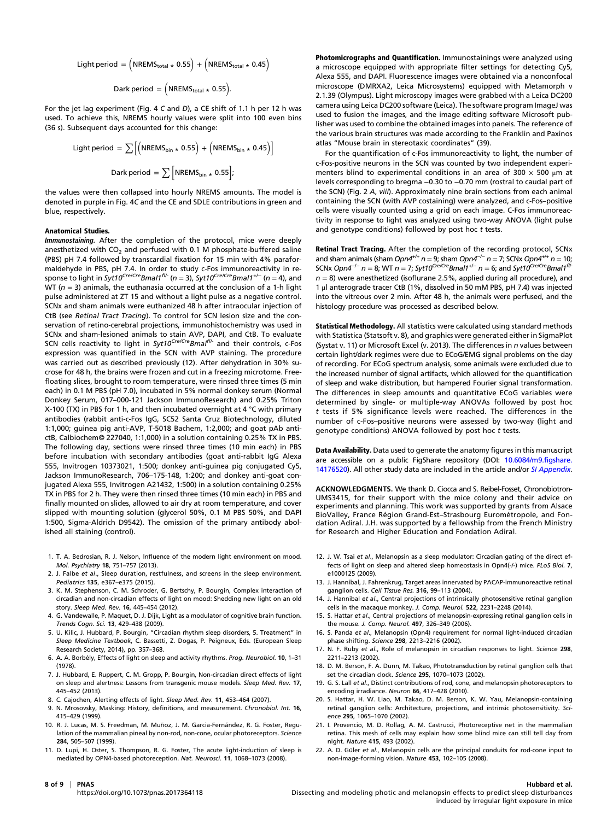$$
\text{Light period} = \left(\text{NREMS}_{\text{total}} \star 0.55\right) + \left(\text{NREMS}_{\text{total}} \star 0.45\right)
$$

$$
Dark period = \left( NREMS_{total \star} 0.55 \right).
$$

For the jet lag experiment (Fig. 4 C and D), a CE shift of 1.1 h per 12 h was used. To achieve this, NREMS hourly values were split into 100 even bins (36 s). Subsequent days accounted for this change:

Light period = 
$$
\sum [(\text{NREMS}_{\text{bin}} * 0.55) + (\text{NREMS}_{\text{bin}} * 0.45)]
$$
  
Dark period =  $\sum [\text{NREMS}_{\text{bin}} * 0.55]$ ;

the values were then collapsed into hourly NREMS amounts. The model is denoted in purple in Fig. 4C and the CE and SDLE contributions in green and blue, respectively.

#### Anatomical Studies.

Immunostaining. After the completion of the protocol, mice were deeply anesthetized with  $CO<sub>2</sub>$  and perfused with 0.1 M phosphate-buffered saline (PBS) pH 7.4 followed by transcardial fixation for 15 min with 4% paraformaldehyde in PBS, pH 7.4. In order to study c-Fos immunoreactivity in response to light in Syt10<sup>Cre/Cre</sup>Bmal1<sup>fl/-</sup> (n = 3), Syt10<sup>Cre/Cre</sup>Bmal1<sup>+/-</sup> (n = 4), and WT ( $n = 3$ ) animals, the euthanasia occurred at the conclusion of a 1-h light pulse administered at ZT 15 and without a light pulse as a negative control. SCNx and sham animals were euthanized 48 h after intraocular injection of CtB (see Retinal Tract Tracing). To control for SCN lesion size and the conservation of retino-cerebral projections, immunohistochemistry was used in SCNx and sham-lesioned animals to stain AVP, DAPI, and CtB. To evaluate SCN cells reactivity to light in Syt10<sup>Cre/Cre</sup>Bmal<sup>fl/-</sup> and their controls, c-Fos expression was quantified in the SCN with AVP staining. The procedure was carried out as described previously (12). After dehydration in 30% sucrose for 48 h, the brains were frozen and cut in a freezing microtome. Freefloating slices, brought to room temperature, were rinsed three times (5 min each) in 0.1 M PBS (pH 7.0), incubated in 5% normal donkey serum (Normal Donkey Serum, 017–000-121 Jackson ImmunoResearch) and 0.25% Triton X-100 (TX) in PBS for 1 h, and then incubated overnight at 4 °C with primary antibodies (rabbit anti-c-Fos IgG, SC52 Santa Cruz Biotechnology, diluted 1:1,000; guinea pig anti-AVP, T-5018 Bachem, 1:2,000; and goat pAb antictB, Calbiochem© 227040, 1:1,000) in a solution containing 0.25% TX in PBS. The following day, sections were rinsed three times (10 min each) in PBS before incubation with secondary antibodies (goat anti-rabbit IgG Alexa 555, Invitrogen 10373021, 1:500; donkey anti-guinea pig conjugated Cy5, Jackson ImmunoResearch, 706–175-148, 1:200; and donkey anti-goat conjugated Alexa 555, Invitrogen A21432, 1:500) in a solution containing 0.25% TX in PBS for 2 h. They were then rinsed three times (10 min each) in PBS and finally mounted on slides, allowed to air dry at room temperature, and cover slipped with mounting solution (glycerol 50%, 0.1 M PBS 50%, and DAPI 1:500, Sigma-Aldrich D9542). The omission of the primary antibody abolished all staining (control).

- 1. T. A. Bedrosian, R. J. Nelson, Influence of the modern light environment on mood. Mol. Psychiatry 18, 751–757 (2013).
- 2. J. Falbe et al., Sleep duration, restfulness, and screens in the sleep environment. Pediatrics 135, e367–e375 (2015).
- 3. K. M. Stephenson, C. M. Schroder, G. Bertschy, P. Bourgin, Complex interaction of circadian and non-circadian effects of light on mood: Shedding new light on an old story. Sleep Med. Rev. 16, 445–454 (2012).
- 4. G. Vandewalle, P. Maquet, D. J. Dijk, Light as a modulator of cognitive brain function. Trends Cogn. Sci. 13, 429–438 (2009).
- 5. U. Kilic, J. Hubbard, P. Bourgin, "Circadian rhythm sleep disorders, 5. Treatment" in Sleep Medicine Textbook, C. Bassetti, Z. Dogas, P. Peigneux, Eds. (European Sleep Research Society, 2014), pp. 357–368.
- 6. A. A. Borbély, Effects of light on sleep and activity rhythms. Prog. Neurobiol. 10, 1–31 (1978).
- 7. J. Hubbard, E. Ruppert, C. M. Gropp, P. Bourgin, Non-circadian direct effects of light on sleep and alertness: Lessons from transgenic mouse models. Sleep Med. Rev. 17, 445–452 (2013).
- 8. C. Cajochen, Alerting effects of light. Sleep Med. Rev. 11, 453–464 (2007).
- 9. N. Mrosovsky, Masking: History, definitions, and measurement. Chronobiol. Int. 16, 415–429 (1999).
- 10. R. J. Lucas, M. S. Freedman, M. Muñoz, J. M. Garcia-Fernández, R. G. Foster, Regulation of the mammalian pineal by non-rod, non-cone, ocular photoreceptors. Science 284, 505–507 (1999).
- 11. D. Lupi, H. Oster, S. Thompson, R. G. Foster, The acute light-induction of sleep is mediated by OPN4-based photoreception. Nat. Neurosci. 11, 1068–1073 (2008).

Photomicrographs and Quantification. Immunostainings were analyzed using a microscope equipped with appropriate filter settings for detecting Cy5, Alexa 555, and DAPI. Fluorescence images were obtained via a nonconfocal microscope (DMRXA2, Leica Microsystems) equipped with Metamorph v 2.1.39 (Olympus). Light microscopy images were grabbed with a Leica DC200 camera using Leica DC200 software (Leica). The software program ImageJ was used to fusion the images, and the image editing software Microsoft publisher was used to combine the obtained images into panels. The reference of the various brain structures was made according to the Franklin and Paxinos atlas "Mouse brain in stereotaxic coordinates" (39).

For the quantification of c-Fos immunoreactivity to light, the number of c-Fos-positive neurons in the SCN was counted by two independent experimenters blind to experimental conditions in an area of 300  $\times$  500  $\mu$ m at levels corresponding to bregma −0.30 to −0.70 mm (rostral to caudal part of the SCN) (Fig. 2 A, viii). Approximately nine brain sections from each animal containing the SCN (with AVP costaining) were analyzed, and c-Fos–positive cells were visually counted using a grid on each image. C-Fos immunoreactivity in response to light was analyzed using two-way ANOVA (light pulse and genotype conditions) followed by post hoc  $t$  tests.

Retinal Tract Tracing. After the completion of the recording protocol, SCNx and sham animals (sham Opn4<sup>+/+</sup> n = 9; sham Opn4<sup>-/-</sup> n = 7; SCNx Opn4<sup>+/+</sup> n = 10; SCNx Opn4<sup>-/-</sup> n = 8; WT n = 7; Syt10<sup>Cre/Cre</sup>Bmal1<sup>+/-</sup> n = 6; and Syt10<sup>Cre/Cre</sup>Bmal1<sup>fl/-</sup>  $n = 8$ ) were anesthetized (isoflurane 2.5%, applied during all procedure), and 1 μl anterograde tracer CtB (1%, dissolved in 50 mM PBS, pH 7.4) was injected into the vitreous over 2 min. After 48 h, the animals were perfused, and the histology procedure was processed as described below.

Statistical Methodology. All statistics were calculated using standard methods with Statistica (Statsoft v. 8), and graphics were generated either in SigmaPlot (Systat v. 11) or Microsoft Excel (v. 2013). The differences in n values between certain light/dark regimes were due to ECoG/EMG signal problems on the day of recording. For ECoG spectrum analysis, some animals were excluded due to the increased number of signal artifacts, which allowed for the quantification of sleep and wake distribution, but hampered Fourier signal transformation. The differences in sleep amounts and quantitative ECoG variables were determined by single- or multiple-way ANOVAs followed by post hoc t tests if 5% significance levels were reached. The differences in the number of c-Fos–positive neurons were assessed by two-way (light and genotype conditions) ANOVA followed by post hoc t tests.

Data Availability. Data used to generate the anatomy figures in this manuscript are accessible on a public FigShare repository (DOI: [10.6084/m9.figshare.](http://dx.doi.org/10.6084/m9.figshare.14176520) [14176520](http://dx.doi.org/10.6084/m9.figshare.14176520)). All other study data are included in the article and/or [SI Appendix](https://www.pnas.org/lookup/suppl/doi:10.1073/pnas.2017364118/-/DCSupplemental).

ACKNOWLEDGMENTS. We thank D. Ciocca and S. Reibel-Fosset, Chronobiotron-UMS3415, for their support with the mice colony and their advice on experiments and planning. This work was supported by grants from Alsace BioValley, France Région Grand-Est–Strasbourg Eurométropole, and Fondation Adiral. J.H. was supported by a fellowship from the French Ministry for Research and Higher Education and Fondation Adiral.

- 12. J. W. Tsai et al., Melanopsin as a sleep modulator: Circadian gating of the direct effects of light on sleep and altered sleep homeostasis in Opn4(-/-) mice. PLoS Biol. 7, e1000125 (2009).
- 13. J. Hannibal, J. Fahrenkrug, Target areas innervated by PACAP-immunoreactive retinal ganglion cells. Cell Tissue Res. 316, 99–113 (2004).
- 14. J. Hannibal et al., Central projections of intrinsically photosensitive retinal ganglion cells in the macaque monkey. J. Comp. Neurol. 522, 2231–2248 (2014).
- 15. S. Hattar et al., Central projections of melanopsin-expressing retinal ganglion cells in the mouse. J. Comp. Neurol. 497, 326–349 (2006).
- 16. S. Panda et al., Melanopsin (Opn4) requirement for normal light-induced circadian phase shifting. Science 298, 2213–2216 (2002).
- 17. N. F. Ruby et al., Role of melanopsin in circadian responses to light. Science 298, 2211–2213 (2002).
- 18. D. M. Berson, F. A. Dunn, M. Takao, Phototransduction by retinal ganglion cells that set the circadian clock. Science 295, 1070–1073 (2002).
- 19. G. S. Lall et al., Distinct contributions of rod, cone, and melanopsin photoreceptors to encoding irradiance. Neuron 66, 417–428 (2010).
- 20. S. Hattar, H. W. Liao, M. Takao, D. M. Berson, K. W. Yau, Melanopsin-containing retinal ganglion cells: Architecture, projections, and intrinsic photosensitivity. Science 295, 1065–1070 (2002).
- 21. I. Provencio, M. D. Rollag, A. M. Castrucci, Photoreceptive net in the mammalian retina. This mesh of cells may explain how some blind mice can still tell day from night. Nature 415, 493 (2002).
- 22. A. D. Güler et al., Melanopsin cells are the principal conduits for rod-cone input to non-image-forming vision. Nature 453, 102–105 (2008).